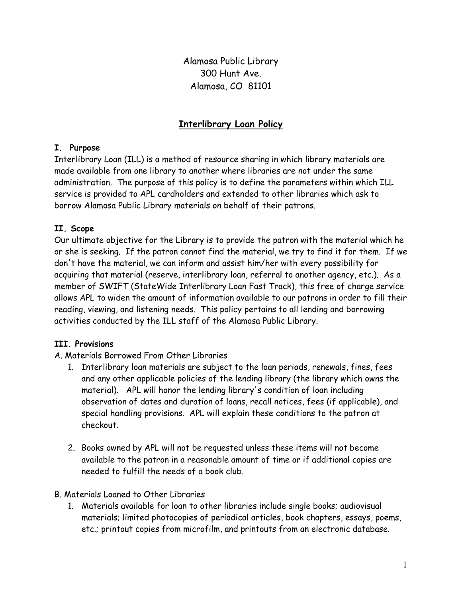Alamosa Public Library 300 Hunt Ave. Alamosa, CO 81101

# Interlibrary Loan Policy

### I. Purpose

Interlibrary Loan (ILL) is a method of resource sharing in which library materials are made available from one library to another where libraries are not under the same administration. The purpose of this policy is to define the parameters within which ILL service is provided to APL cardholders and extended to other libraries which ask to borrow Alamosa Public Library materials on behalf of their patrons.

## II. Scope

Our ultimate objective for the Library is to provide the patron with the material which he or she is seeking. If the patron cannot find the material, we try to find it for them. If we don't have the material, we can inform and assist him/her with every possibility for acquiring that material (reserve, interlibrary loan, referral to another agency, etc.). As a member of SWIFT (StateWide Interlibrary Loan Fast Track), this free of charge service allows APL to widen the amount of information available to our patrons in order to fill their reading, viewing, and listening needs. This policy pertains to all lending and borrowing activities conducted by the ILL staff of the Alamosa Public Library.

## III. Provisions

## A. Materials Borrowed From Other Libraries

- 1. Interlibrary loan materials are subject to the loan periods, renewals, fines, fees and any other applicable policies of the lending library (the library which owns the material). APL will honor the lending library's condition of loan including observation of dates and duration of loans, recall notices, fees (if applicable), and special handling provisions. APL will explain these conditions to the patron at checkout.
- 2. Books owned by APL will not be requested unless these items will not become available to the patron in a reasonable amount of time or if additional copies are needed to fulfill the needs of a book club.
- B. Materials Loaned to Other Libraries
	- 1. Materials available for loan to other libraries include single books; audiovisual materials; limited photocopies of periodical articles, book chapters, essays, poems, etc.; printout copies from microfilm, and printouts from an electronic database.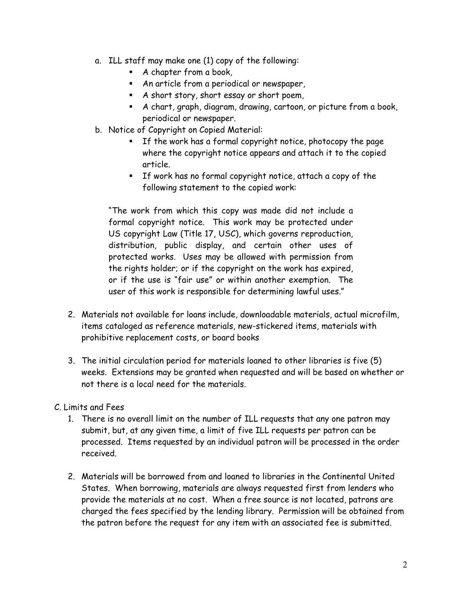- a. ILL staff may make one (1) copy of the following:
	- A chapter from a book,
	- An article from a periodical or newspaper,
	- A short story, short essay or short poem,
	- A chart, graph, diagram, drawing, cartoon, or picture from a book, periodical or newspaper.
- b. Notice of Copyright on Copied Material:
	- If the work has a formal copyright notice, photocopy the page where the copyright notice appears and attach it to the copied article.
	- If work has no formal copyright notice, attach a copy of the following statement to the copied work:

"The work from which this copy was made did not include a formal copyright notice. This work may be protected under US copyright Law (Title 17, USC), which governs reproduction, distribution, public display, and certain other uses of protected works. Uses may be allowed with permission from the rights holder; or if the copyright on the work has expired, or if the use is "fair use" or within another exemption. The user of this work is responsible for determining lawful uses."

- 2. Materials not available for loans include, downloadable materials, actual microfilm, items cataloged as reference materials, new-stickered items, materials with prohibitive replacement costs, or board books
- 3. The initial circulation period for materials loaned to other libraries is five (5) weeks. Extensions may be granted when requested and will be based on whether or not there is a local need for the materials.

## C. Limits and Fees

- 1. There is no overall limit on the number of ILL requests that any one patron may submit, but, at any given time, a limit of five ILL requests per patron can be processed. Items requested by an individual patron will be processed in the order received.
- 2. Materials will be borrowed from and loaned to libraries in the Continental United States. When borrowing, materials are always requested first from lenders who provide the materials at no cost. When a free source is not located, patrons are charged the fees specified by the lending library. Permission will be obtained from the patron before the request for any item with an associated fee is submitted.